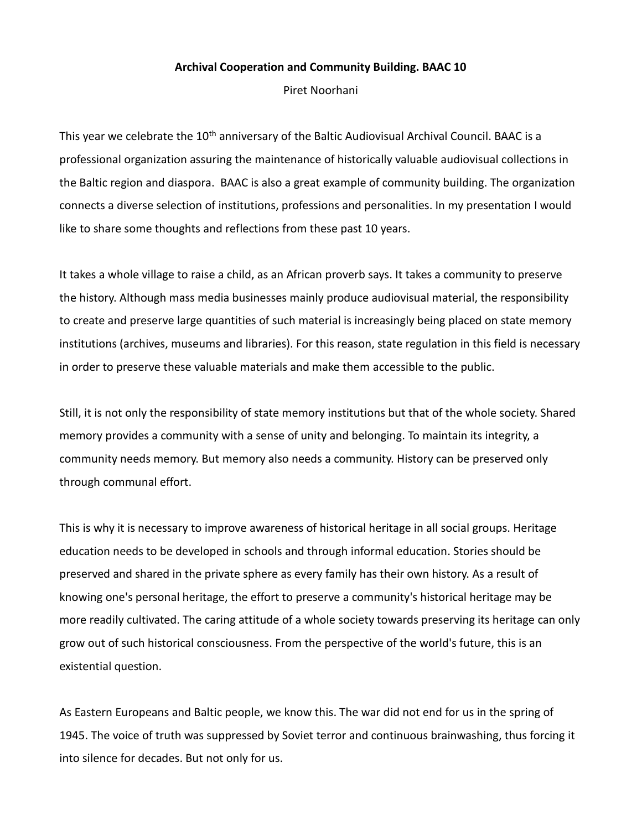## **Archival Cooperation and Community Building. BAAC 10**

Piret Noorhani

This year we celebrate the 10<sup>th</sup> anniversary of the Baltic Audiovisual Archival Council. BAAC is a professional organization assuring the maintenance of historically valuable audiovisual collections in the Baltic region and diaspora. BAAC is also a great example of community building. The organization connects a diverse selection of institutions, professions and personalities. In my presentation I would like to share some thoughts and reflections from these past 10 years.

It takes a whole village to raise a child, as an African proverb says. It takes a community to preserve the history. Although mass media businesses mainly produce audiovisual material, the responsibility to create and preserve large quantities of such material is increasingly being placed on state memory institutions (archives, museums and libraries). For this reason, state regulation in this field is necessary in order to preserve these valuable materials and make them accessible to the public.

Still, it is not only the responsibility of state memory institutions but that of the whole society. Shared memory provides a community with a sense of unity and belonging. To maintain its integrity, a community needs memory. But memory also needs a community. History can be preserved only through communal effort.

This is why it is necessary to improve awareness of historical heritage in all social groups. Heritage education needs to be developed in schools and through informal education. Stories should be preserved and shared in the private sphere as every family has their own history. As a result of knowing one's personal heritage, the effort to preserve a community's historical heritage may be more readily cultivated. The caring attitude of a whole society towards preserving its heritage can only grow out of such historical consciousness. From the perspective of the world's future, this is an existential question.

As Eastern Europeans and Baltic people, we know this. The war did not end for us in the spring of 1945. The voice of truth was suppressed by Soviet terror and continuous brainwashing, thus forcing it into silence for decades. But not only for us.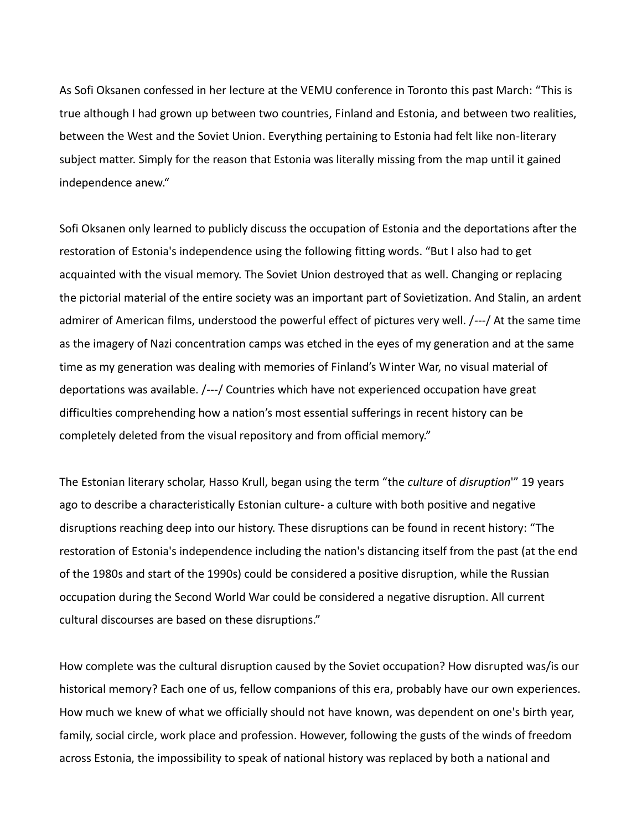As Sofi Oksanen confessed in her lecture at the VEMU conference in Toronto this past March: "This is true although I had grown up between two countries, Finland and Estonia, and between two realities, between the West and the Soviet Union. Everything pertaining to Estonia had felt like non-literary subject matter. Simply for the reason that Estonia was literally missing from the map until it gained independence anew."

Sofi Oksanen only learned to publicly discuss the occupation of Estonia and the deportations after the restoration of Estonia's independence using the following fitting words. "But I also had to get acquainted with the visual memory. The Soviet Union destroyed that as well. Changing or replacing the pictorial material of the entire society was an important part of Sovietization. And Stalin, an ardent admirer of American films, understood the powerful effect of pictures very well. /---/ At the same time as the imagery of Nazi concentration camps was etched in the eyes of my generation and at the same time as my generation was dealing with memories of Finland's Winter War, no visual material of deportations was available. /---/ Countries which have not experienced occupation have great difficulties comprehending how a nation's most essential sufferings in recent history can be completely deleted from the visual repository and from official memory."

The Estonian literary scholar, Hasso Krull, began using the term "the *culture* of *disruption*'" 19 years ago to describe a characteristically Estonian culture- a culture with both positive and negative disruptions reaching deep into our history. These disruptions can be found in recent history: "The restoration of Estonia's independence including the nation's distancing itself from the past (at the end of the 1980s and start of the 1990s) could be considered a positive disruption, while the Russian occupation during the Second World War could be considered a negative disruption. All current cultural discourses are based on these disruptions."

How complete was the cultural disruption caused by the Soviet occupation? How disrupted was/is our historical memory? Each one of us, fellow companions of this era, probably have our own experiences. How much we knew of what we officially should not have known, was dependent on one's birth year, family, social circle, work place and profession. However, following the gusts of the winds of freedom across Estonia, the impossibility to speak of national history was replaced by both a national and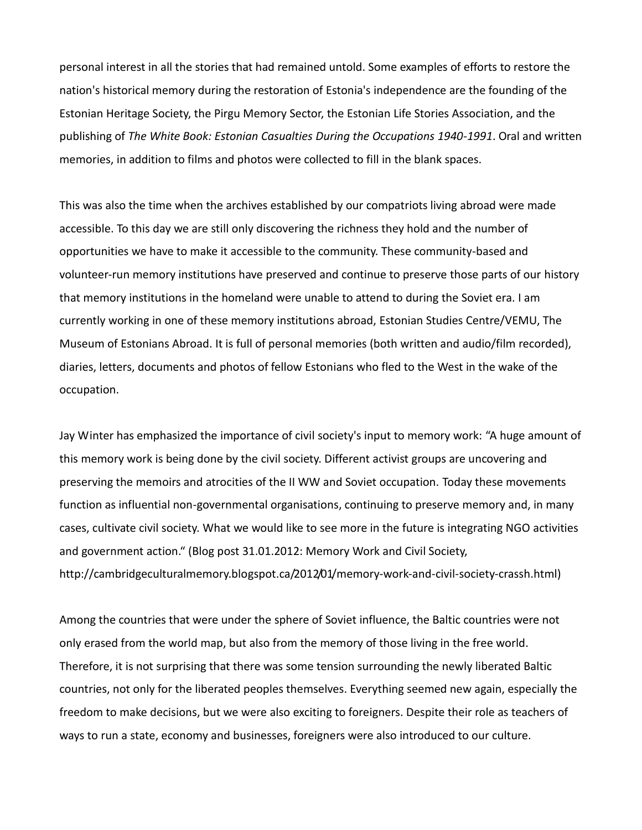personal interest in all the stories that had remained untold. Some examples of efforts to restore the nation's historical memory during the restoration of Estonia's independence are the founding of the Estonian Heritage Society, the Pirgu Memory Sector, the Estonian Life Stories Association, and the publishing of *The White Book: Estonian Casualties During the Occupations 1940-1991*. Oral and written memories, in addition to films and photos were collected to fill in the blank spaces.

This was also the time when the archives established by our compatriots living abroad were made accessible. To this day we are still only discovering the richness they hold and the number of opportunities we have to make it accessible to the community. These community-based and volunteer-run memory institutions have preserved and continue to preserve those parts of our history that memory institutions in the homeland were unable to attend to during the Soviet era. I am currently working in one of these memory institutions abroad, Estonian Studies Centre/VEMU, The Museum of Estonians Abroad. It is full of personal memories (both written and audio/film recorded), diaries, letters, documents and photos of fellow Estonians who fled to the West in the wake of the occupation.

Jay Winter has emphasized the importance of civil society's input to memory work: "A huge amount of this memory work is being done by the civil society. Different activist groups are uncovering and preserving the memoirs and atrocities of the II WW and Soviet occupation. Today these movements function as influential non-governmental organisations, continuing to preserve memory and, in many cases, cultivate civil society. What we would like to see more in the future is integrating NGO activities and government action." (Blog post 31.01.2012: Memory Work and Civil Society, http://cambridgeculturalmemory.blogspot.ca/2012/01/memory-work-and-civil-society-crassh.html)

Among the countries that were under the sphere of Soviet influence, the Baltic countries were not only erased from the world map, but also from the memory of those living in the free world. Therefore, it is not surprising that there was some tension surrounding the newly liberated Baltic countries, not only for the liberated peoples themselves. Everything seemed new again, especially the freedom to make decisions, but we were also exciting to foreigners. Despite their role as teachers of ways to run a state, economy and businesses, foreigners were also introduced to our culture.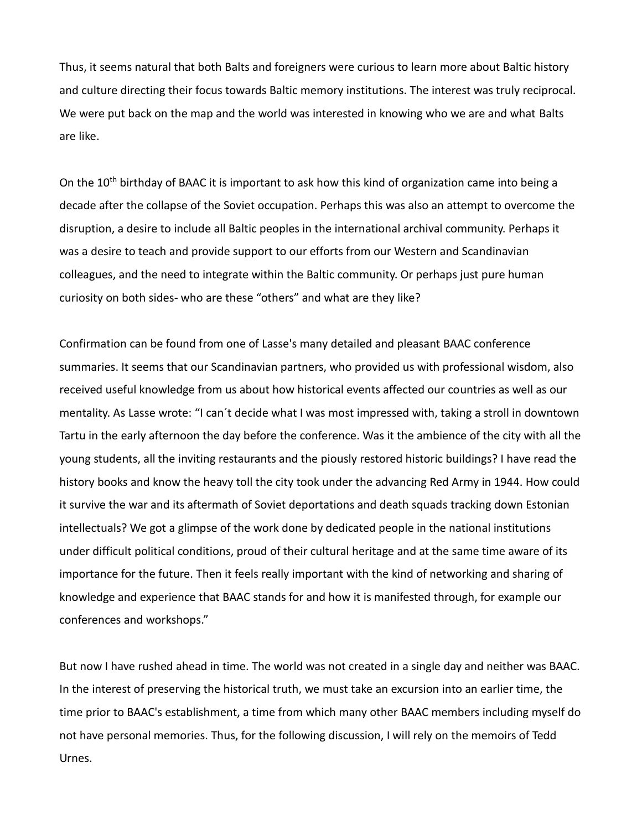Thus, it seems natural that both Balts and foreigners were curious to learn more about Baltic history and culture directing their focus towards Baltic memory institutions. The interest was truly reciprocal. We were put back on the map and the world was interested in knowing who we are and what Balts are like.

On the 10<sup>th</sup> birthday of BAAC it is important to ask how this kind of organization came into being a decade after the collapse of the Soviet occupation. Perhaps this was also an attempt to overcome the disruption, a desire to include all Baltic peoples in the international archival community. Perhaps it was a desire to teach and provide support to our efforts from our Western and Scandinavian colleagues, and the need to integrate within the Baltic community. Or perhaps just pure human curiosity on both sides- who are these "others" and what are they like?

Confirmation can be found from one of Lasse's many detailed and pleasant BAAC conference summaries. It seems that our Scandinavian partners, who provided us with professional wisdom, also received useful knowledge from us about how historical events affected our countries as well as our mentality. As Lasse wrote: "I can´t decide what I was most impressed with, taking a stroll in downtown Tartu in the early afternoon the day before the conference. Was it the ambience of the city with all the young students, all the inviting restaurants and the piously restored historic buildings? I have read the history books and know the heavy toll the city took under the advancing Red Army in 1944. How could it survive the war and its aftermath of Soviet deportations and death squads tracking down Estonian intellectuals? We got a glimpse of the work done by dedicated people in the national institutions under difficult political conditions, proud of their cultural heritage and at the same time aware of its importance for the future. Then it feels really important with the kind of networking and sharing of knowledge and experience that BAAC stands for and how it is manifested through, for example our conferences and workshops."

But now I have rushed ahead in time. The world was not created in a single day and neither was BAAC. In the interest of preserving the historical truth, we must take an excursion into an earlier time, the time prior to BAAC's establishment, a time from which many other BAAC members including myself do not have personal memories. Thus, for the following discussion, I will rely on the memoirs of Tedd Urnes.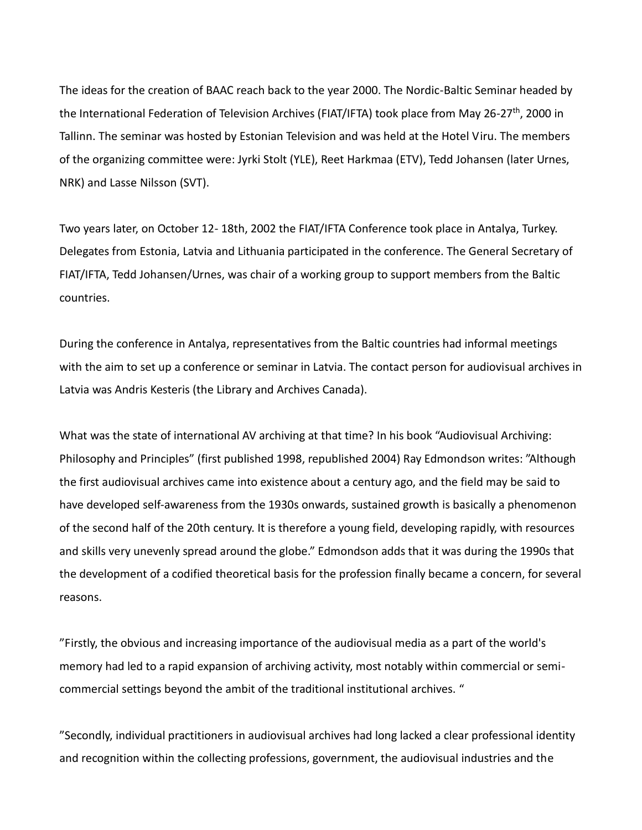The ideas for the creation of BAAC reach back to the year 2000. The Nordic-Baltic Seminar headed by the International Federation of Television Archives (FIAT/IFTA) took place from May 26-27<sup>th</sup>, 2000 in Tallinn. The seminar was hosted by Estonian Television and was held at the Hotel Viru. The members of the organizing committee were: Jyrki Stolt (YLE), Reet Harkmaa (ETV), Tedd Johansen (later Urnes, NRK) and Lasse Nilsson (SVT).

Two years later, on October 12- 18th, 2002 the FIAT/IFTA Conference took place in Antalya, Turkey. Delegates from Estonia, Latvia and Lithuania participated in the conference. The General Secretary of FIAT/IFTA, Tedd Johansen/Urnes, was chair of a working group to support members from the Baltic countries.

During the conference in Antalya, representatives from the Baltic countries had informal meetings with the aim to set up a conference or seminar in Latvia. The contact person for audiovisual archives in Latvia was Andris Kesteris (the Library and Archives Canada).

What was the state of international AV archiving at that time? In his book "Audiovisual Archiving: Philosophy and Principles" (first published 1998, republished 2004) Ray Edmondson writes: "Although the first audiovisual archives came into existence about a century ago, and the field may be said to have developed self-awareness from the 1930s onwards, sustained growth is basically a phenomenon of the second half of the 20th century. It is therefore a young field, developing rapidly, with resources and skills very unevenly spread around the globe." Edmondson adds that it was during the 1990s that the development of a codified theoretical basis for the profession finally became a concern, for several reasons.

"Firstly, the obvious and increasing importance of the audiovisual media as a part of the world's memory had led to a rapid expansion of archiving activity, most notably within commercial or semicommercial settings beyond the ambit of the traditional institutional archives. "

"Secondly, individual practitioners in audiovisual archives had long lacked a clear professional identity and recognition within the collecting professions, government, the audiovisual industries and the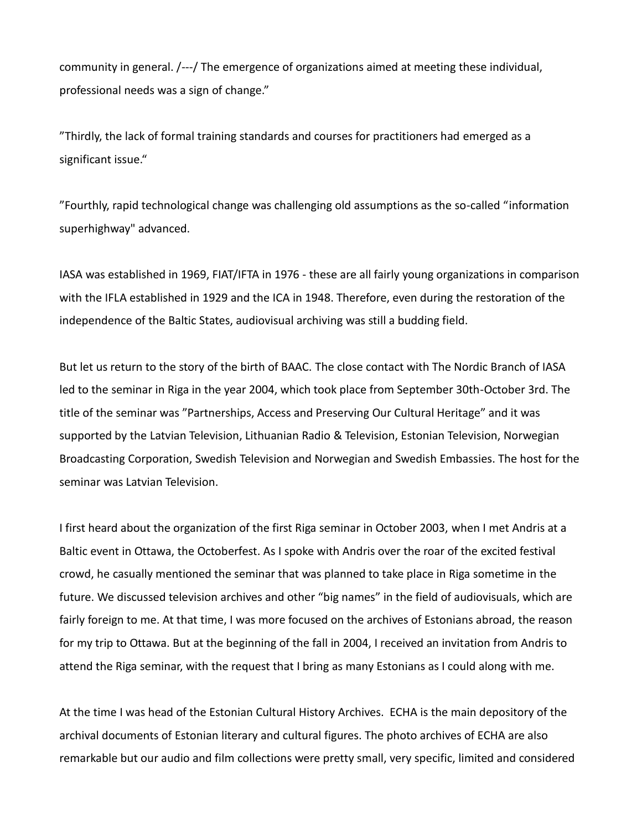community in general. /---/ The emergence of organizations aimed at meeting these individual, professional needs was a sign of change."

"Thirdly, the lack of formal training standards and courses for practitioners had emerged as a significant issue."

"Fourthly, rapid technological change was challenging old assumptions as the so-called "information superhighway" advanced.

IASA was established in 1969, FIAT/IFTA in 1976 - these are all fairly young organizations in comparison with the IFLA established in 1929 and the ICA in 1948. Therefore, even during the restoration of the independence of the Baltic States, audiovisual archiving was still a budding field.

But let us return to the story of the birth of BAAC. The close contact with The Nordic Branch of IASA led to the seminar in Riga in the year 2004, which took place from September 30th-October 3rd. The title of the seminar was "Partnerships, Access and Preserving Our Cultural Heritage" and it was supported by the Latvian Television, Lithuanian Radio & Television, Estonian Television, Norwegian Broadcasting Corporation, Swedish Television and Norwegian and Swedish Embassies. The host for the seminar was Latvian Television.

I first heard about the organization of the first Riga seminar in October 2003, when I met Andris at a Baltic event in Ottawa, the Octoberfest. As I spoke with Andris over the roar of the excited festival crowd, he casually mentioned the seminar that was planned to take place in Riga sometime in the future. We discussed television archives and other "big names" in the field of audiovisuals, which are fairly foreign to me. At that time, I was more focused on the archives of Estonians abroad, the reason for my trip to Ottawa. But at the beginning of the fall in 2004, I received an invitation from Andris to attend the Riga seminar, with the request that I bring as many Estonians as I could along with me.

At the time I was head of the Estonian Cultural History Archives. ECHA is the main depository of the archival documents of Estonian literary and cultural figures. The photo archives of ECHA are also remarkable but our audio and film collections were pretty small, very specific, limited and considered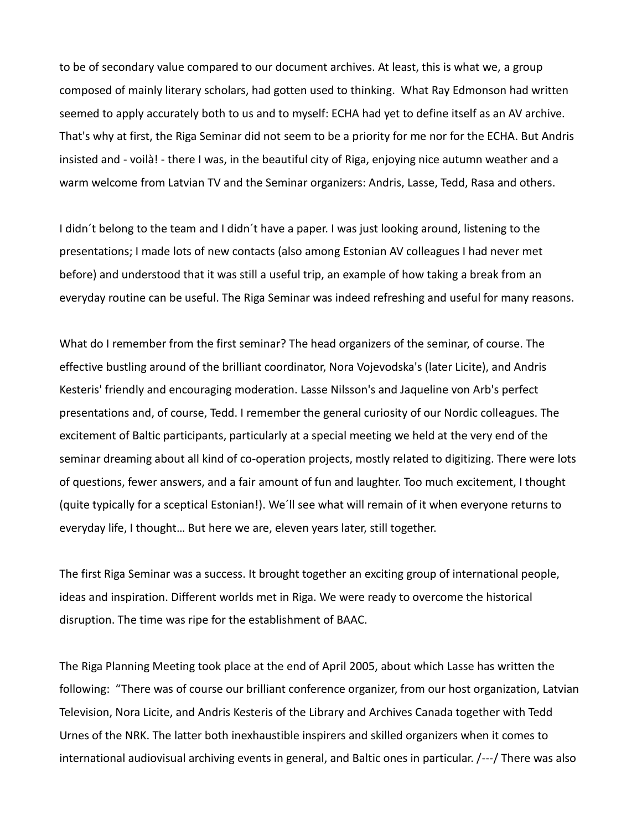to be of secondary value compared to our document archives. At least, this is what we, a group composed of mainly literary scholars, had gotten used to thinking. What Ray Edmonson had written seemed to apply accurately both to us and to myself: ECHA had yet to define itself as an AV archive. That's why at first, the Riga Seminar did not seem to be a priority for me nor for the ECHA. But Andris insisted and - voilà! - there I was, in the beautiful city of Riga, enjoying nice autumn weather and a warm welcome from Latvian TV and the Seminar organizers: Andris, Lasse, Tedd, Rasa and others.

I didn´t belong to the team and I didn´t have a paper. I was just looking around, listening to the presentations; I made lots of new contacts (also among Estonian AV colleagues I had never met before) and understood that it was still a useful trip, an example of how taking a break from an everyday routine can be useful. The Riga Seminar was indeed refreshing and useful for many reasons.

What do I remember from the first seminar? The head organizers of the seminar, of course. The effective bustling around of the brilliant coordinator, Nora Vojevodska's (later Licite), and Andris Kesteris' friendly and encouraging moderation. Lasse Nilsson's and Jaqueline von Arb's perfect presentations and, of course, Tedd. I remember the general curiosity of our Nordic colleagues. The excitement of Baltic participants, particularly at a special meeting we held at the very end of the seminar dreaming about all kind of co-operation projects, mostly related to digitizing. There were lots of questions, fewer answers, and a fair amount of fun and laughter. Too much excitement, I thought (quite typically for a sceptical Estonian!). We´ll see what will remain of it when everyone returns to everyday life, I thought… But here we are, eleven years later, still together.

The first Riga Seminar was a success. It brought together an exciting group of international people, ideas and inspiration. Different worlds met in Riga. We were ready to overcome the historical disruption. The time was ripe for the establishment of BAAC.

The Riga Planning Meeting took place at the end of April 2005, about which Lasse has written the following: "There was of course our brilliant conference organizer, from our host organization, Latvian Television, Nora Licite, and Andris Kesteris of the Library and Archives Canada together with Tedd Urnes of the NRK. The latter both inexhaustible inspirers and skilled organizers when it comes to international audiovisual archiving events in general, and Baltic ones in particular. /---/ There was also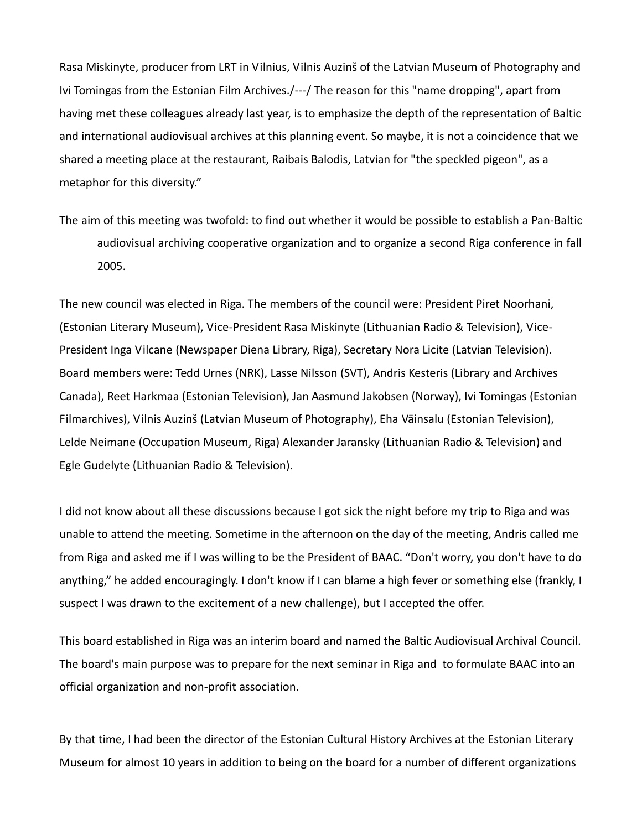Rasa Miskinyte, producer from LRT in Vilnius, Vilnis Auzinš of the Latvian Museum of Photography and Ivi Tomingas from the Estonian Film Archives./---/ The reason for this "name dropping", apart from having met these colleagues already last year, is to emphasize the depth of the representation of Baltic and international audiovisual archives at this planning event. So maybe, it is not a coincidence that we shared a meeting place at the restaurant, Raibais Balodis, Latvian for "the speckled pigeon", as a metaphor for this diversity."

The aim of this meeting was twofold: to find out whether it would be possible to establish a Pan-Baltic audiovisual archiving cooperative organization and to organize a second Riga conference in fall 2005.

The new council was elected in Riga. The members of the council were: President Piret Noorhani, (Estonian Literary Museum), Vice-President Rasa Miskinyte (Lithuanian Radio & Television), Vice-President Inga Vilcane (Newspaper Diena Library, Riga), Secretary Nora Licite (Latvian Television). Board members were: Tedd Urnes (NRK), Lasse Nilsson (SVT), Andris Kesteris (Library and Archives Canada), Reet Harkmaa (Estonian Television), Jan Aasmund Jakobsen (Norway), Ivi Tomingas (Estonian Filmarchives), Vilnis Auzinš (Latvian Museum of Photography), Eha Väinsalu (Estonian Television), Lelde Neimane (Occupation Museum, Riga) Alexander Jaransky (Lithuanian Radio & Television) and Egle Gudelyte (Lithuanian Radio & Television).

I did not know about all these discussions because I got sick the night before my trip to Riga and was unable to attend the meeting. Sometime in the afternoon on the day of the meeting, Andris called me from Riga and asked me if I was willing to be the President of BAAC. "Don't worry, you don't have to do anything," he added encouragingly. I don't know if I can blame a high fever or something else (frankly, I suspect I was drawn to the excitement of a new challenge), but I accepted the offer.

This board established in Riga was an interim board and named the Baltic Audiovisual Archival Council. The board's main purpose was to prepare for the next seminar in Riga and to formulate BAAC into an official organization and non-profit association.

By that time, I had been the director of the Estonian Cultural History Archives at the Estonian Literary Museum for almost 10 years in addition to being on the board for a number of different organizations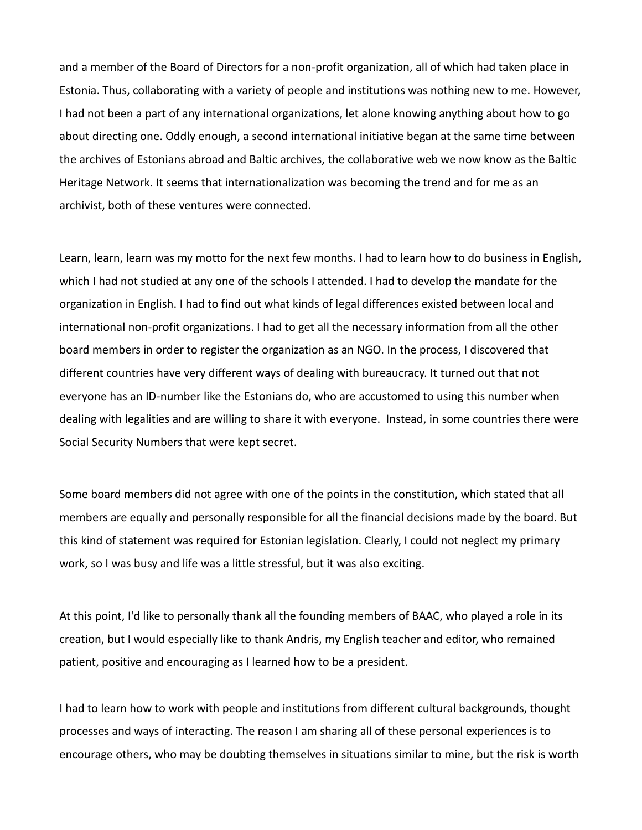and a member of the Board of Directors for a non-profit organization, all of which had taken place in Estonia. Thus, collaborating with a variety of people and institutions was nothing new to me. However, I had not been a part of any international organizations, let alone knowing anything about how to go about directing one. Oddly enough, a second international initiative began at the same time between the archives of Estonians abroad and Baltic archives, the collaborative web we now know as the Baltic Heritage Network. It seems that internationalization was becoming the trend and for me as an archivist, both of these ventures were connected.

Learn, learn, learn was my motto for the next few months. I had to learn how to do business in English, which I had not studied at any one of the schools I attended. I had to develop the mandate for the organization in English. I had to find out what kinds of legal differences existed between local and international non-profit organizations. I had to get all the necessary information from all the other board members in order to register the organization as an NGO. In the process, I discovered that different countries have very different ways of dealing with bureaucracy. It turned out that not everyone has an ID-number like the Estonians do, who are accustomed to using this number when dealing with legalities and are willing to share it with everyone. Instead, in some countries there were Social Security Numbers that were kept secret.

Some board members did not agree with one of the points in the constitution, which stated that all members are equally and personally responsible for all the financial decisions made by the board. But this kind of statement was required for Estonian legislation. Clearly, I could not neglect my primary work, so I was busy and life was a little stressful, but it was also exciting.

At this point, I'd like to personally thank all the founding members of BAAC, who played a role in its creation, but I would especially like to thank Andris, my English teacher and editor, who remained patient, positive and encouraging as I learned how to be a president.

I had to learn how to work with people and institutions from different cultural backgrounds, thought processes and ways of interacting. The reason I am sharing all of these personal experiences is to encourage others, who may be doubting themselves in situations similar to mine, but the risk is worth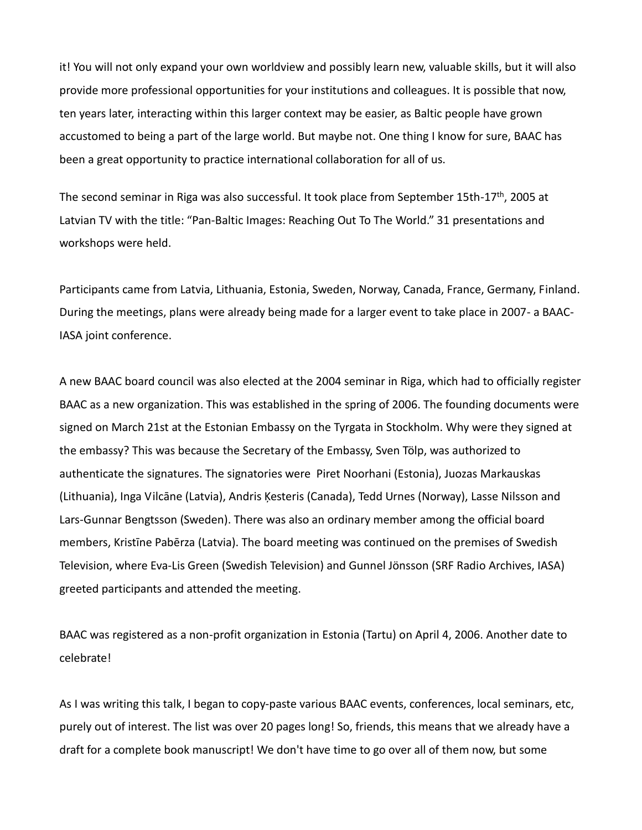it! You will not only expand your own worldview and possibly learn new, valuable skills, but it will also provide more professional opportunities for your institutions and colleagues. It is possible that now, ten years later, interacting within this larger context may be easier, as Baltic people have grown accustomed to being a part of the large world. But maybe not. One thing I know for sure, BAAC has been a great opportunity to practice international collaboration for all of us.

The second seminar in Riga was also successful. It took place from September 15th-17<sup>th</sup>, 2005 at Latvian TV with the title: "Pan-Baltic Images: Reaching Out To The World." 31 presentations and workshops were held.

Participants came from Latvia, Lithuania, Estonia, Sweden, Norway, Canada, France, Germany, Finland. During the meetings, plans were already being made for a larger event to take place in 2007- a BAAC-IASA joint conference.

A new BAAC board council was also elected at the 2004 seminar in Riga, which had to officially register BAAC as a new organization. This was established in the spring of 2006. The founding documents were signed on March 21st at the Estonian Embassy on the Tyrgata in Stockholm. Why were they signed at the embassy? This was because the Secretary of the Embassy, Sven Tölp, was authorized to authenticate the signatures. The signatories were Piret Noorhani (Estonia), Juozas Markauskas (Lithuania), Inga Vilcāne (Latvia), Andris Ķesteris (Canada), Tedd Urnes (Norway), Lasse Nilsson and Lars-Gunnar Bengtsson (Sweden). There was also an ordinary member among the official board members, Kristīne Pabērza (Latvia). The board meeting was continued on the premises of Swedish Television, where Eva-Lis Green (Swedish Television) and Gunnel Jönsson (SRF Radio Archives, IASA) greeted participants and attended the meeting.

BAAC was registered as a non-profit organization in Estonia (Tartu) on April 4, 2006. Another date to celebrate!

As I was writing this talk, I began to copy-paste various BAAC events, conferences, local seminars, etc, purely out of interest. The list was over 20 pages long! So, friends, this means that we already have a draft for a complete book manuscript! We don't have time to go over all of them now, but some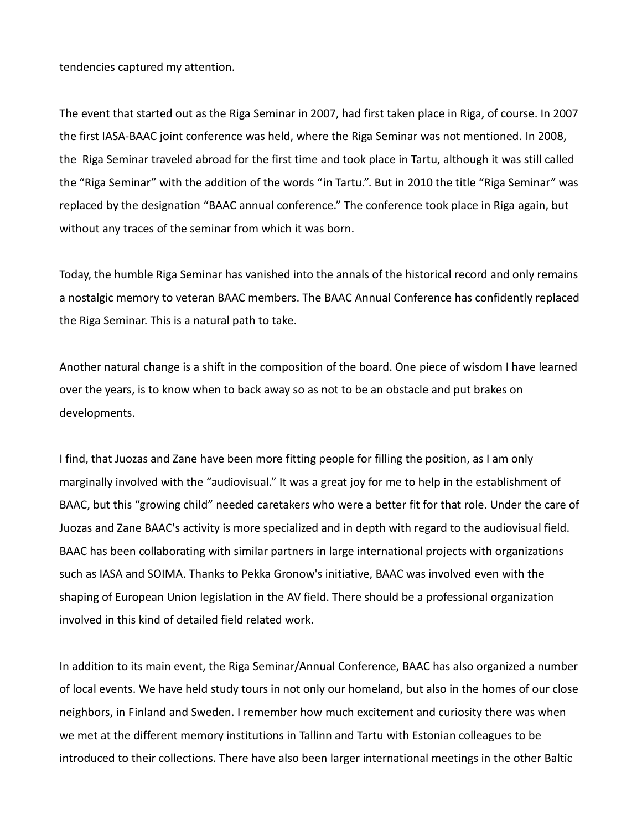tendencies captured my attention.

The event that started out as the Riga Seminar in 2007, had first taken place in Riga, of course. In 2007 the first IASA-BAAC joint conference was held, where the Riga Seminar was not mentioned. In 2008, the Riga Seminar traveled abroad for the first time and took place in Tartu, although it was still called the "Riga Seminar" with the addition of the words "in Tartu.". But in 2010 the title "Riga Seminar" was replaced by the designation "BAAC annual conference." The conference took place in Riga again, but without any traces of the seminar from which it was born.

Today, the humble Riga Seminar has vanished into the annals of the historical record and only remains a nostalgic memory to veteran BAAC members. The BAAC Annual Conference has confidently replaced the Riga Seminar. This is a natural path to take.

Another natural change is a shift in the composition of the board. One piece of wisdom I have learned over the years, is to know when to back away so as not to be an obstacle and put brakes on developments.

I find, that Juozas and Zane have been more fitting people for filling the position, as I am only marginally involved with the "audiovisual." It was a great joy for me to help in the establishment of BAAC, but this "growing child" needed caretakers who were a better fit for that role. Under the care of Juozas and Zane BAAC's activity is more specialized and in depth with regard to the audiovisual field. BAAC has been collaborating with similar partners in large international projects with organizations such as IASA and SOIMA. Thanks to Pekka Gronow's initiative, BAAC was involved even with the shaping of European Union legislation in the AV field. There should be a professional organization involved in this kind of detailed field related work.

In addition to its main event, the Riga Seminar/Annual Conference, BAAC has also organized a number of local events. We have held study tours in not only our homeland, but also in the homes of our close neighbors, in Finland and Sweden. I remember how much excitement and curiosity there was when we met at the different memory institutions in Tallinn and Tartu with Estonian colleagues to be introduced to their collections. There have also been larger international meetings in the other Baltic